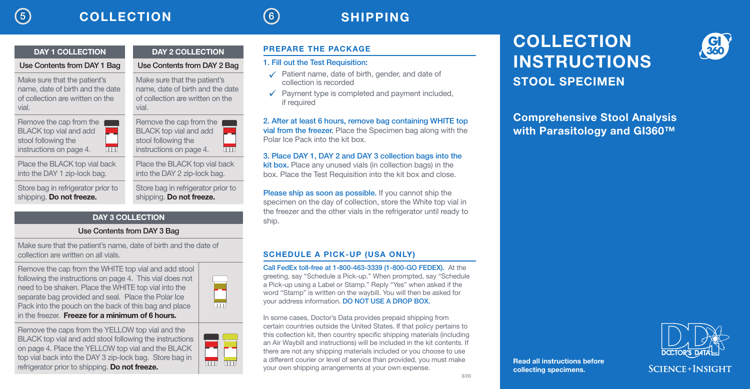vial.

### 5 COLLECTION 6 SHIPPING

### DAY 2 COLLECTION Use Contents from DAY 2 Bag Make sure that the patient's name, date of birth and the date of collection are written on the Remove the cap from the **FILL BLACK top vial and add**

vial.

stool following the instructions on page 4.

Place the BLACK top vial back into the DAY 1 zip-lock bag.

Store bag in refrigerator prior to shipping. Do not freeze.

DAY 1 COLLECTION Use Contents from DAY 1 Bag

Make sure that the patient's name, date of birth and the date of collection are written on the

Remove the cap from the BLACK top vial and add stool following the instructions on page 4.

> into the DAY 2 zip-lock bag. Store bag in refrigerator prior to shipping. Do not freeze.

Place the BLACK top vial back

### DAY 3 COLLECTION

### Use Contents from DAY 3 Bag

Make sure that the patient's name, date of birth and the date of collection are written on all vials.

<u>limi</u>

Remove the cap from the WHITE top vial and add stool following the instructions on page 4. This vial does not need to be shaken. Place the WHITE top vial into the separate bag provided and seal. Place the Polar Ice Pack into the pouch on the back of this bag and place in the freezer. Freeze for a minimum of 6 hours.

Remove the caps from the YELLOW top vial and the BLACK top vial and add stool following the instructions on page 4. Place the YELLOW top vial and the BLACK top vial back into the DAY 3 zip-lock bag. Store bag in refrigerator prior to shipping. Do not freeze.

# **FILL LINE FILL LINE TTTT ITTI**

PREPARE THE PACKAGE

#### 1. Fill out the Test Requisition:

- $\checkmark$  Patient name, date of birth, gender, and date of collection is recorded
- $\checkmark$  Payment type is completed and payment included, if required

2. After at least 6 hours, remove bag containing WHITE top vial from the freezer. Place the Specimen bag along with the Polar Ice Pack into the kit box.

3. Place DAY 1, DAY 2 and DAY 3 collection bags into the kit box. Place any unused vials (in collection bags) in the box. Place the Test Requisition into the kit box and close.

Please ship as soon as possible. If you cannot ship the specimen on the day of collection, store the White top vial in the freezer and the other vials in the refrigerator until ready to ship.

#### SCHEDULE A PICK-UP (USA ONLY)

Call FedEx toll-free at 1-800-463-3339 (1-800-GO FEDEX). At the greeting, say "Schedule a Pick-up." When prompted, say "Schedule a Pick-up using a Label or Stamp." Reply "Yes" when asked if the word "Stamp" is written on the waybill. You will then be asked for your address information. DO NOT USE A DROP BOX.

In some cases, Doctor's Data provides prepaid shipping from certain countries outside the United States. If that policy pertains to this collection kit, then country specific shipping materials (including an Air Waybill and instructions) will be included in the kit contents. If there are not any shipping materials included or you choose to use a different courier or level of service than provided, you must make your own shipping arrangements at your own expense.

# COLLECTION INSTRUCTIONS STOOL SPECIMEN

Comprehensive Stool Analysis with Parasitology and GI360™



Read all instructions before collecting specimens.



 $\overline{\mathbb{H}}$